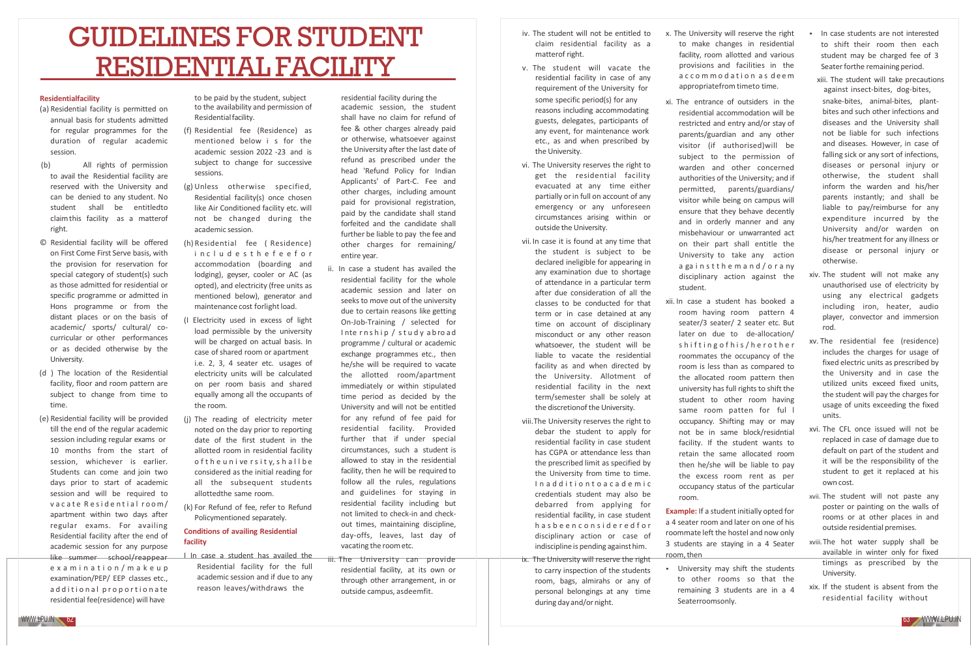# GUIDELINES FOR STUDENT RESIDENTIAL FACILITY

### **Residentialfacility**

- (a) Residential facility is permitted on annual basis for students admitted for regular programmes for the duration of regular academic session.
- (b) All rights of permission to avail the Residential facility are reserved with the University and can be denied to any student. No student shall be entitledto claimthis facility as a matterof right.
- © Residential facility will be offered on First Come First Serve basis, with the provision for reservation for special category of student(s) such as those admitted for residential or specific programme or admitted in Hons programme or from the distant places or on the basis of academic/ sports/ cultural/ co‐ curricular or other performances or as decided otherwise by the University.
- (d ) The location of the Residential facility, floor and room pattern are subject to change from time to time.
- (e) Residential facility will be provided till the end of the regular academic session including regular exams or 10 months from the start of session, whichever is earlier. Students can come and join two days prior to start of academic session and will be required to vacate Residential room/ apartment within two days after regular exams. For availing Residential facility after the end of academic session for any purpose like summer school/reappear e x a m i n a t i o n / m a k e u p examination/PEP/ EEP classes etc., additional proportionate residential fee(residence) will have

to be paid by the student, subject to the availability and permission of Residentialfacility.

- (f) Residential fee (Residence) as mentioned below i s for the academic session 2022 -23 and is subject to change for successive sessions.
- (g) Unless otherwise specified, Residential facility(s) once chosen like Air Conditioned facility etc. will not be changed during the academic session.
- (h) Residential fee ( Residence) in c l u d e s t h e f e e f o r accommodation (boarding and lodging), geyser, cooler or AC (as opted), and electricity (free units as mentioned below), generator and maintenance cost forlight load.
- (I Electricity used in excess of light load permissible by the university will be charged on actual basis. In case of shared room or apartment i.e. 2, 3, 4 seater etc. usages of electricity units will be calculated on per room basis and shared equally among all the occupants of the room.
- (j) The reading of electricity meter noted on the day prior to reporting date of the first student in the allotted room in residential facility o f the university, shall be considered as the initial reading for all the subsequent students allottedthe same room.
- (k) For Refund of fee, refer to Refund Policymentioned separately.

### **Conditions of availing Residential facility**

I In case a student has availed the Residential facility for the full academic session and if due to any reason leaves/withdraws the

residential facility during the academic session, the student shall have no claim for refund of fee & other charges already paid or otherwise, whatsoever against the University after the last date of refund as prescribed under the head 'Refund Policy for Indian Applicants' of Part‐C. Fee and other charges, including amount paid for provisional registration, paid by the candidate shall stand forfeited and the candidate shall further be liable to pay the fee and other charges for remaining/ entire year.

- ii. In case a student has availed the residential facility for the whole academic session and later on seeks to move out of the university due to certain reasons like getting On‐Job‐Training / selected for Internship / study abroad programme / cultural or academic exchange programmes etc., then he/she will be required to vacate the allotted room/apartment immediately or within stipulated time period as decided by the University and will not be entitled for any refund of fee paid for residential facility. Provided further that if under special circumstances, such a student is allowed to stay in the residential facility, then he will be required to follow all the rules, regulations and guidelines for staying in residential facility including but not limited to check‐in and check‐ out times, maintaining discipline, day‐offs, leaves, last day of vacating the roometc.
- iii. The University can provide residential facility, at its own or through other arrangement, in or outside campus, asdeemfit.
- iv. The student will not be entitled to claim residential facility as a matterof right.
- v. The student will vacate the residential facility in case of any requirement of the University for
- some specific period(s) for any reasons including accommodating guests, delegates, participants of any event, for maintenance work etc., as and when prescribed by the University.
- vi. The University reserves the right to get the residential facility evacuated at any time either partially or in full on account of any emergency or any unforeseen circumstances arising within or outside the University.
- vii. In case it is found at any time that the student is subject to be declared ineligible for appearing in any examination due to shortage of attendance in a particular term after due consideration of all the classes to be conducted for that term or in case detained at any time on account of disciplinary misconduct or any other reason whatsoever, the student will be liable to vacate the residential facility as and when directed by the University. Allotment of residential facility in the next term/semester shall be solely at the discretionof the University.
- viii.The University reserves the right to debar the student to apply for residential facility in case student has CGPA or attendance less than the prescribed limit as specified by the University from time to time. I n a d d i t i o n t o a c a d e m i c credentials student may also be debarred from applying for residential facility, in case student h a s b e e n c o n s i d e r e d f o r disciplinary action or case of indiscipline is pending againsthim.
- ix. The University will reserve the right to carry inspection of the students room, bags, almirahs or any of personal belongings at any time during dayand/or night.
- x. The University will reserve the right to make changes in residential facility, room allotted and various provisions and facilities in the a c c o m m o d a t i o n a s d e e m appropriatefrom timeto time.
- xi. The entrance of outsiders in the residential accommodation will be restricted and entry and/or stay of parents/guardian and any other visitor (if authorised)will be subject to the permission of warden and other concerned authorities of the University; and if permitted, parents/guardians/ visitor while being on campus will ensure that they behave decently and in orderly manner and any misbehaviour or unwarranted act on their part shall entitle the University to take any action a ga i n s t t h e m a n d / o r a ny disciplinary action against the student.
- xii. In case a student has booked a room having room pattern 4 seater/3 seater/ 2 seater etc. But later on due to de-allocation/ shifting of his/herother roommates the occupancy of the room is less than as compared to the allocated room pattern then university has full rights to shift the student to other room having same room patten for ful l occupancy. Shifting may or may not be in same block/residntial facility. If the student wants to retain the same allocated room then he/she will be liable to pay the excess room rent as per occupancy status of the particular room.

**Example:** If a student initially opted for a 4 seater room and later on one of his roommate left the hostel and now only 3 students are staying in a 4 Seater room, then

▪ University may shift the students to other rooms so that the remaining 3 students are in a 4 Seaterroomsonly.

- In case students are not interested to shift their room then each student may be charged fee of 3 Seater forthe remaining period.
- xiii. The student will take precautions against insect‐bites, dog‐bites,

snake‐bites, animal‐bites, plant‐ bites and such other infections and diseases and the University shall not be liable for such infections and diseases. However, in case of falling sick or any sort of infections, diseases or personal injury or otherwise, the student shall inform the warden and his/her parents instantly; and shall be liable to pay/reimburse for any expenditure incurred by the University and/or warden on his/her treatment for any illness or disease or personal injury or otherwise.

- xiv. The student will not make any unauthorised use of electricity by using any electrical gadgets including iron, heater, audio player, convector and immersion rod.
- xv. The residential fee (residence) includes the charges for usage of fixed electric units as prescribed by the University and in case the utilized units exceed fixed units, the student will pay the charges for usage of units exceeding the fixed units.
- xvi. The CFL once issued will not be replaced in case of damage due to default on part of the student and it will be the responsibility of the student to get it replaced at his own cost.
- xvii. The student will not paste any poster or painting on the walls of rooms or at other places in and outside residential premises.
- xviii.The hot water supply shall be available in winter only for fixed timings as prescribed by the University.
- xix. If the student is absent from the residential facility without